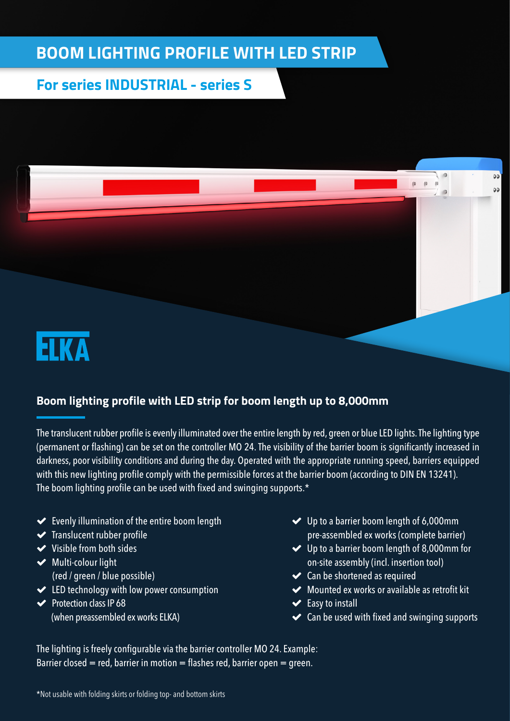## **BOOM LIGHTING PROFILE WITH LED STRIP**

## **For series INDUSTRIAL - series S**



## **Boom lighting profile with LED strip for boom length up to 8,000mm**

The translucent rubber profile is evenly illuminated over the entire length by red, green or blue LED lights. The lighting type (permanent or flashing) can be set on the controller MO 24. The visibility of the barrier boom is significantly increased in darkness, poor visibility conditions and during the day. Operated with the appropriate running speed, barriers equipped with this new lighting profile comply with the permissible forces at the barrier boom (according to DIN EN 13241). The boom lighting profile can be used with fixed and swinging supports.\*

- $\blacktriangleright$  Evenly illumination of the entire boom length
- $\blacktriangleright$  Translucent rubber profile
- Visible from both sides
- $\blacktriangleright$  Multi-colour light (red / green / blue possible)
- ED technology with low power consumption
- $\blacktriangleright$  Protection class IP 68 (when preassembled ex works ELKA)
- Up to a barrier boom length of 6,000mm pre-assembled ex works (complete barrier)
- Up to a barrier boom length of 8,000mm for on-site assembly (incl. insertion tool)
- ◆ Can be shortened as required
- Mounted ex works or available as retrofit kit
- $\blacktriangleright$  Easy to install
- $\triangleleft$  Can be used with fixed and swinging supports

The lighting is freely configurable via the barrier controller MO 24. Example: Barrier closed = red, barrier in motion = flashes red, barrier open = green.